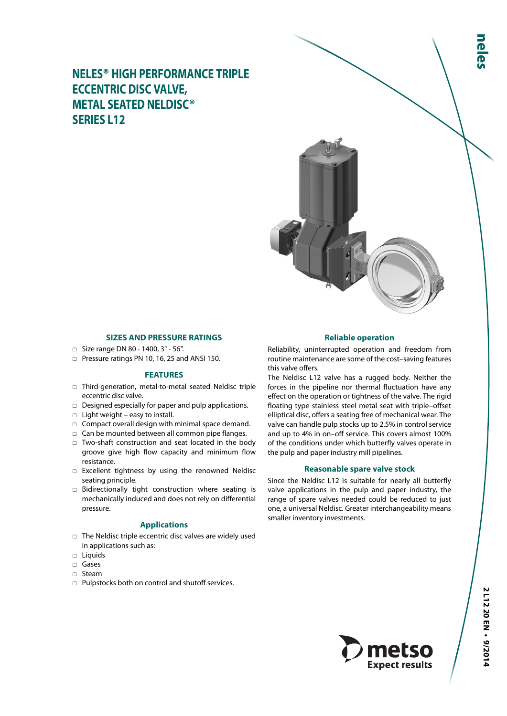**NELES® HIGH PERFORMANCE TRIPLE ECCENTRIC DISC VALVE, METAL SEATED NELDISC® SERIES L12**



#### **SIZES AND PRESSURE RATINGS**

- □ Size range DN 80 1400, 3" 56".
- □ Pressure ratings PN 10, 16, 25 and ANSI 150.

### **FEATURES**

- □ Third-generation, metal-to-metal seated Neldisc triple eccentric disc valve.
- □ Designed especially for paper and pulp applications.
- $\Box$  Light weight easy to install.
- $\Box$  Compact overall design with minimal space demand.
- □ Can be mounted between all common pipe flanges.
- □ Two-shaft construction and seat located in the body groove give high flow capacity and minimum flow resistance.
- □ Excellent tightness by using the renowned Neldisc seating principle.
- □ Bidirectionally tight construction where seating is mechanically induced and does not rely on differential pressure.

### **Applications**

- □ The Neldisc triple eccentric disc valves are widely used in applications such as:
- □ Liquids
- □ Gases
- □ Steam
- □ Pulpstocks both on control and shutoff services.

### **Reliable operation**

Reliability, uninterrupted operation and freedom from routine maintenance are some of the cost–saving features this valve offers.

The Neldisc L12 valve has a rugged body. Neither the forces in the pipeline nor thermal fluctuation have any effect on the operation or tightness of the valve. The rigid floating type stainless steel metal seat with triple–offset elliptical disc, offers a seating free of mechanical wear. The valve can handle pulp stocks up to 2.5% in control service and up to 4% in on–off service. This covers almost 100% of the conditions under which butterfly valves operate in the pulp and paper industry mill pipelines.

# **Reasonable spare valve stock**

Since the Neldisc L12 is suitable for nearly all butterfly valve applications in the pulp and paper industry, the range of spare valves needed could be reduced to just one, a universal Neldisc. Greater interchangeability means smaller inventory investments.

**Expect results** 

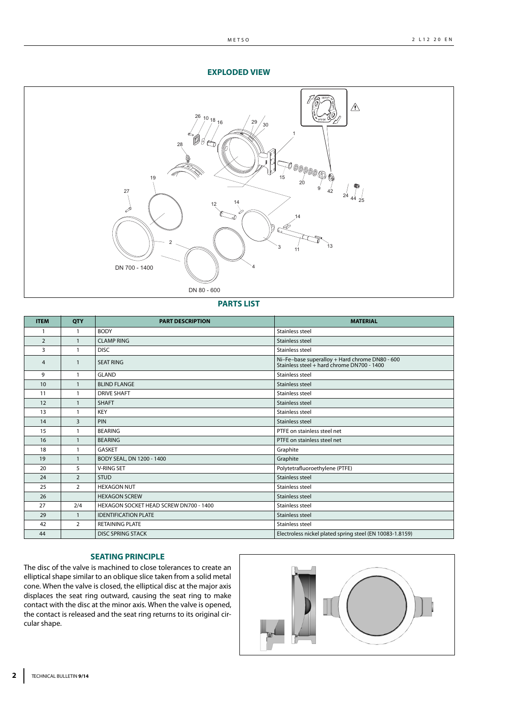# **EXPLODED VIEW**



**PARTS LIST**

| <b>ITEM</b>    | QTY            | <b>PART DESCRIPTION</b>                | <b>MATERIAL</b>                                                                              |
|----------------|----------------|----------------------------------------|----------------------------------------------------------------------------------------------|
|                | 1              | <b>BODY</b>                            | <b>Stainless steel</b>                                                                       |
| $\overline{2}$ | $\mathbf{1}$   | <b>CLAMP RING</b>                      | Stainless steel                                                                              |
| 3              | $\mathbf{1}$   | <b>DISC</b>                            | <b>Stainless steel</b>                                                                       |
| $\overline{4}$ | $\mathbf{1}$   | <b>SEAT RING</b>                       | Ni-Fe-base superalloy + Hard chrome DN80 - 600<br>Stainless steel + hard chrome DN700 - 1400 |
| 9              | 1              | <b>GLAND</b>                           | <b>Stainless steel</b>                                                                       |
| 10             | $\mathbf{1}$   | <b>BLIND FLANGE</b>                    | Stainless steel                                                                              |
| 11             | 1              | <b>DRIVE SHAFT</b>                     | Stainless steel                                                                              |
| 12             |                | <b>SHAFT</b>                           | Stainless steel                                                                              |
| 13             |                | <b>KEY</b>                             | Stainless steel                                                                              |
| 14             | 3              | PIN                                    | Stainless steel                                                                              |
| 15             | $\mathbf{1}$   | <b>BEARING</b>                         | PTFE on stainless steel net                                                                  |
| 16             |                | <b>BEARING</b>                         | PTFE on stainless steel net                                                                  |
| 18             | 1              | <b>GASKET</b>                          | Graphite                                                                                     |
| 19             | $\mathbf{1}$   | BODY SEAL, DN 1200 - 1400              | Graphite                                                                                     |
| 20             | 5              | <b>V-RING SET</b>                      | Polytetrafluoroethylene (PTFE)                                                               |
| 24             | $\overline{2}$ | <b>STUD</b>                            | Stainless steel                                                                              |
| 25             | $\overline{2}$ | <b>HEXAGON NUT</b>                     | <b>Stainless steel</b>                                                                       |
| 26             |                | <b>HEXAGON SCREW</b>                   | Stainless steel                                                                              |
| 27             | 2/4            | HEXAGON SOCKET HEAD SCREW DN700 - 1400 | Stainless steel                                                                              |
| 29             | $\mathbf{1}$   | <b>IDENTIFICATION PLATE</b>            | Stainless steel                                                                              |
| 42             | $\overline{2}$ | <b>RETAINING PLATE</b>                 | Stainless steel                                                                              |
| 44             |                | <b>DISC SPRING STACK</b>               | Electroless nickel plated spring steel (EN 10083-1.8159)                                     |

# **SEATING PRINCIPLE**

The disc of the valve is machined to close tolerances to create an elliptical shape similar to an oblique slice taken from a solid metal cone. When the valve is closed, the elliptical disc at the major axis displaces the seat ring outward, causing the seat ring to make contact with the disc at the minor axis. When the valve is opened, the contact is released and the seat ring returns to its original circular shape.

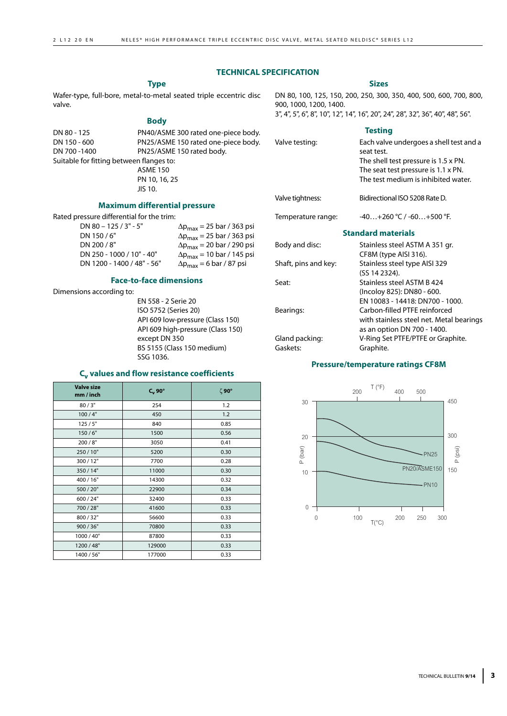#### **TECHNICAL SPECIFICATION**

### **Type**

Wafer-type, full-bore, metal-to-metal seated triple eccentric disc valve.

#### **Body**

| DN 80 - 125                              | PN40/ASME 300 rated one-piece body. |
|------------------------------------------|-------------------------------------|
| DN 150 - 600                             | PN25/ASME 150 rated one-piece body. |
| DN 700-1400                              | PN25/ASME 150 rated body.           |
| Suitable for fitting between flanges to: |                                     |
|                                          | <b>ASME 150</b>                     |
|                                          | PN 10, 16, 25                       |
|                                          | JIS 10.                             |

#### **Maximum differential pressure**

Rated pressure differential for the trim:

| DN 80 - 125 / 3" - 5"      | $\Delta p_{\rm max}$ = 25 bar / 363 psi |
|----------------------------|-----------------------------------------|
| DN 150/6"                  | $\Delta p_{max}$ = 25 bar / 363 psi     |
| DN 200 / 8"                | $\Delta p_{max}$ = 20 bar / 290 psi     |
| DN 250 - 1000 / 10" - 40"  | $\Delta p_{max}$ = 10 bar / 145 psi     |
| DN 1200 - 1400 / 48" - 56" | $\Delta p_{max} = 6$ bar / 87 psi       |

# **Face-to-face dimensions**

Dimensions according to:

EN 558 - 2 Serie 20 ISO 5752 (Series 20) API 609 low-pressure (Class 150) API 609 high-pressure (Class 150) except DN 350 BS 5155 (Class 150 medium) SSG 1036.

# **Cv values and flow resistance coefficients**

| <b>Valve size</b><br>mm / inch | $C_v$ 90° | ζ90° |
|--------------------------------|-----------|------|
| 80/3"                          | 254       | 1.2  |
| 100/4"                         | 450       | 1.2  |
| 125/5"                         | 840       | 0.85 |
| 150/6"                         | 1500      | 0.56 |
| 200/8"                         | 3050      | 0.41 |
| 250/10"                        | 5200      | 0.30 |
| 300/12"                        | 7700      | 0.28 |
| 350/14"                        | 11000     | 0.30 |
| 400 / 16"                      | 14300     | 0.32 |
| 500 / 20"                      | 22900     | 0.34 |
| 600 / 24"                      | 32400     | 0.33 |
| 700 / 28"                      | 41600     | 0.33 |
| 800/32"                        | 56600     | 0.33 |
| 900 / 36"                      | 70800     | 0.33 |
| 1000 / 40"                     | 87800     | 0.33 |
| 1200 / 48"                     | 129000    | 0.33 |
| 1400 / 56"                     | 177000    | 0.33 |

#### **Sizes**

DN 80, 100, 125, 150, 200, 250, 300, 350, 400, 500, 600, 700, 800, 900, 1000, 1200, 1400.

3", 4", 5", 6", 8", 10", 12", 14", 16", 20", 24", 28", 32", 36", 40", 48", 56".

# **Testing** Valve testing: Each valve undergoes a shell test and a seat test. The shell test pressure is 1.5 x PN. The seat test pressure is 1.1 x PN. The test medium is inhibited water. Valve tightness: Bidirectional ISO 5208 Rate D. Temperature range:  $-40...+260 °C / -60...+500 °F$ . **Standard materials** Body and disc: Stainless steel ASTM A 351 gr. CF8M (type AISI 316). Shaft, pins and key: Stainless steel type AISI 329 (SS 14 2324). Seat: Stainless steel ASTM B 424 (Incoloy 825): DN80 - 600. EN 10083 - 14418: DN700 - 1000. Bearings: Carbon-filled PTFE reinforced with stainless steel net. Metal bearings as an option DN 700 - 1400. Gland packing: V-Ring Set PTFE/PTFE or Graphite. Gaskets: Graphite.

# **Pressure/temperature ratings CF8M**

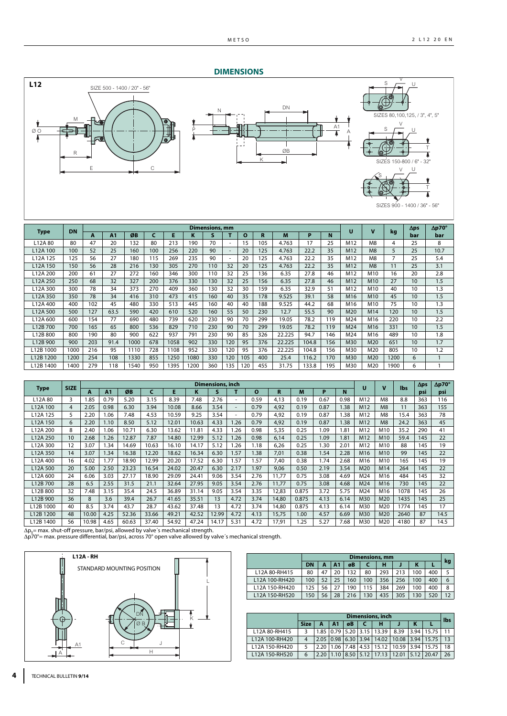# **DIMENSIONS**



|             | <b>DN</b> |     |      |      |     |      |      | <b>Dimensions, mm</b> |     |              |     |        |       |     | π               | $\overline{\mathbf{v}}$ |      | $\Delta \mathbf{p}$ s | $\Delta p 70^\circ$ |
|-------------|-----------|-----|------|------|-----|------|------|-----------------------|-----|--------------|-----|--------|-------|-----|-----------------|-------------------------|------|-----------------------|---------------------|
| <b>Type</b> |           | A   | A1   | ØB   | c   | E    | κ    |                       |     | $\mathbf{o}$ | R   | M      | P     | N   |                 |                         | kg   | bar                   | bar                 |
| L12A 80     | 80        | 47  | 20   | 132  | 80  | 213  | 190  | 70                    |     | 15           | 105 | 4.763  | 17    | 25  | M12             | M <sub>8</sub>          | 4    | 25                    | 8                   |
| L12A 100    | 100       | 52  | 25   | 160  | 100 | 256  | 220  | 90                    |     | 20           | 125 | 4.763  | 22.2  | 35  | M <sub>12</sub> | M8                      | 5    | 25                    | 10.7                |
| L12A 125    | 125       | 56  | 27   | 180  | 115 | 269  | 235  | 90                    |     | 20           | 125 | 4.763  | 22.2  | 35  | M12             | M <sub>8</sub>          | 7    | 25                    | 5.4                 |
| L12A 150    | 150       | 56  | 28   | 216  | 130 | 305  | 270  | 110                   | 32  | 20           | 125 | 4.763  | 22.2  | 35  | M12             | M8                      | 11   | 25                    | 3.1                 |
| L12A 200    | 200       | 61  | 27   | 272  | 160 | 346  | 300  | 110                   | 32  | 25           | 136 | 6.35   | 27.8  | 46  | M12             | M10                     | 16   | 20                    | 2.8                 |
| L12A 250    | 250       | 68  | 32   | 327  | 200 | 376  | 330  | 130                   | 32  | 25           | 156 | 6.35   | 27.8  | 46  | M12             | M10                     | 27   | 10                    | 1.5                 |
| L12A 300    | 300       | 78  | 34   | 373  | 270 | 409  | 360  | 130                   | 32  | 30           | 159 | 6.35   | 32.9  | 51  | M12             | M10                     | 40   | 10                    | 1.3                 |
| L12A 350    | 350       | 78  | 34   | 416  | 310 | 473  | 415  | 160                   | 40  | 35           | 178 | 9.525  | 39.1  | 58  | M <sub>16</sub> | M <sub>10</sub>         | 45   | 10                    | 1.5                 |
| L12A 400    | 400       | 102 | 45   | 480  | 330 | 513  | 445  | 160                   | 40  | 40           | 188 | 9.525  | 44.2  | 68  | M16             | M10                     | 75   | 10                    | 1.3                 |
| L12A 500    | 500       | 127 | 63.5 | 590  | 420 | 610  | 520  | 160                   | 55  | 50           | 230 | 12.7   | 55.5  | 90  | M20             | M14                     | 120  | 10                    | 1.5                 |
| L12A 600    | 600       | 154 | 77   | 690  | 480 | 739  | 620  | 230                   | 90  | 70           | 299 | 19.05  | 78.2  | 119 | M24             | M16                     | 220  | 10                    | 2.2                 |
| L12B700     | 700       | 165 | 65   | 800  | 536 | 829  | 710  | 230                   | 90  | 70           | 299 | 19.05  | 78.2  | 119 | M24             | M16                     | 331  | 10                    | 1.5                 |
| L12B800     | 800       | 190 | 80   | 900  | 622 | 937  | 791  | 230                   | 90  | 85           | 326 | 22.225 | 94.7  | 146 | M24             | M16                     | 489  | 10                    | 1.8                 |
| L12B 900    | 900       | 203 | 91.4 | 1000 | 678 | 1058 | 902  | 330                   | 120 | 95           | 376 | 22.225 | 104.8 | 156 | M30             | M20                     | 651  | 10                    | 1.7                 |
| L12B 1000   | 1000      | 216 | 95   | 1110 | 728 | 1108 | 952  | 330                   | 120 | 95           | 376 | 22.225 | 104.8 | 156 | M30             | M20                     | 805  | 10                    | 1.2                 |
| L12B 1200   | 1200      | 254 | 108  | 1330 | 855 | 1250 | 1080 | 330                   | 120 | 105          | 400 | 25.4   | 116.2 | 170 | M30             | M20                     | 1200 | 6                     |                     |
| L12B 1400   | 1400      | 279 | 118  | 1540 | 950 | 1395 | 1200 | 360                   | 135 | 120          | 455 | 31.75  | 133.8 | 195 | M30             | M20                     | 1900 | 6                     |                     |

| <b>Type</b> | <b>SIZE</b> |       |                |       |       |       |       | <b>Dimensions, inch</b> |                          |              |       |       |      |      | V<br>υ          |                | <b>lbs</b> | $\Delta$ ps | $\Delta p70^\circ$ |
|-------------|-------------|-------|----------------|-------|-------|-------|-------|-------------------------|--------------------------|--------------|-------|-------|------|------|-----------------|----------------|------------|-------------|--------------------|
|             |             | A     | A <sub>1</sub> | ØB    |       | E     | κ     | S                       |                          | $\mathbf{o}$ | R     | M     | P    | N    |                 |                |            | psi         | psi                |
| L12A80      | 3           | 1.85  | 0.79           | 5.20  | 3.15  | 8.39  | 7.48  | 2.76                    |                          | 0.59         | 4,13  | 0.19  | 0.67 | 0.98 | M12             | M <sub>8</sub> | 8.8        | 363         | 116                |
| L12A 100    | 4           | 2.05  | 0.98           | 6.30  | 3.94  | 10.08 | 8.66  | 3.54                    | $\overline{\phantom{a}}$ | 0.79         | 4,92  | 0.19  | 0.87 | 1.38 | M12             | M8             | 11         | 363         | 155                |
| L12A 125    | 5.          | 2.20  | 1.06           | 7.48  | 4.53  | 10.59 | 9.25  | 3.54                    | ۰                        | 0.79         | 4,92  | 0.19  | 0.87 | .38  | M12             | M <sub>8</sub> | 15.4       | 363         | 78                 |
| L12A 150    | 6           | 2.20  | 1.10           | 8.50  | 5.12  | 12.01 | 10.63 | 4.33                    | 1.26                     | 0.79         | 4,92  | 0.19  | 0.87 | 1.38 | M12             | M8             | 24.2       | 363         | 45                 |
| L12A 200    | 8           | 2.40  | 1.06           | 10.71 | 6.30  | 13.62 | 11.81 | 4.33                    | 1.26                     | 0.98         | 5,35  | 0.25  | 1.09 | 1.81 | M12             | M10            | 35.2       | 290         | 41                 |
| L12A 250    | 10          | 2.68  | 1.26           | 12.87 | 7.87  | 14.80 | 12.99 | 5.12                    | 1.26                     | 0.98         | 6,14  | 0.25  | 1.09 | 1.81 | M12             | M10            | 59.4       | 145         | 22                 |
| L12A 300    | 12          | 3.07  | 1.34           | 14.69 | 10.63 | 16.10 | 14.17 | 5.12                    | 1.26                     | 1.18         | 6,26  | 0.25  | 1.30 | 2.01 | M12             | M10            | 88         | 145         | 19                 |
| L12A 350    | 14          | 3.07  | 1.34           | 16.38 | 12.20 | 18.62 | 16.34 | 6.30                    | 1.57                     | 1.38         | 7,01  | 0.38  | 1.54 | 2.28 | M <sub>16</sub> | M10            | 99         | 145         | 22                 |
| L12A 400    | 16          | 4.02  | 1.77           | 18.90 | 12.99 | 20.20 | 17.52 | 6.30                    | 1.57                     | 1.57         | 7,40  | 0.38  | 1.74 | 2.68 | M16             | M10            | 165        | 145         | 19                 |
| L12A 500    | 20          | 5.00  | 2.50           | 23.23 | 16.54 | 24.02 | 20.47 | 6.30                    | 2.17                     | 1.97         | 9,06  | 0.50  | 2.19 | 3.54 | M20             | M14            | 264        | 145         | 22                 |
| L12A 600    | 24          | 6.06  | 3.03           | 27.17 | 18.90 | 29.09 | 24.41 | 9.06                    | 3.54                     | 2.76         | 11.77 | 0.75  | 3.08 | 4.69 | M24             | M16            | 484        | 145         | 32                 |
| L12B 700    | 28          | 6.5   | 2.55           | 31.5  | 21.1  | 32.64 | 27.95 | 9.05                    | 3.54                     | 2.76         | 11,77 | 0.75  | 3.08 | 4.68 | M24             | M16            | 730        | 145         | 22                 |
| L12B 800    | 32          | 7.48  | 3.15           | 35.4  | 24.5  | 36.89 | 31.14 | 9.05                    | 3.54                     | 3.35         | 12,83 | 0.875 | 3.72 | 5.75 | M24             | M16            | 1078       | 145         | 26                 |
| L12B 900    | 36          | 8     | 3.6            | 39.4  | 26.7  | 41.65 | 35.51 | 13                      | 4.72                     | 3.74         | 14,80 | 0.875 | 4.13 | 6.14 | M30             | M20            | 1435       | 145         | 25                 |
| L12B 1000   | 40          | 8.5   | 3.74           | 43.7  | 28.7  | 43.62 | 37.48 | 13                      | 4.72                     | 3.74         | 14,80 | 0.875 | 4.13 | 6.14 | M30             | M20            | 1774       | 145         | 17                 |
| L12B 1200   | 48          | 10.00 | 4.25           | 52.36 | 33.66 | 49.21 | 42.52 | 12.99                   | 4.72                     | 4.13         | 15,75 | 1.00  | 4.57 | 6.69 | M30             | M20            | 2640       | 87          | 14.5               |
| L12B 1400   | 56          | 10.98 | 4.65           | 60.63 | 37.40 | 54.92 | 47.24 | 14.17                   | 5.31                     | 4.72         | 17,91 | .25   | 5.27 | 7.68 | M30             | M20            | 4180       | 87          | 14.5               |

Δp<sub>s</sub>= max. shut-off pressure, bar/psi, allowed by valve´s mechanical strength.<br>Δp70°= max. pressure differential, bar/psi, across 70° open valve allowed by valve´s mechanical strength.



| <b>L12A - RH</b>           |  |                |           |    |    |     | <b>Dimensions, mm</b> |     |     |     |     |    |
|----------------------------|--|----------------|-----------|----|----|-----|-----------------------|-----|-----|-----|-----|----|
| STANDARD MOUNTING POSITION |  |                | <b>DN</b> |    |    | øB  |                       |     |     |     |     | kg |
|                            |  | L12A 80-RH415  | 80        | 47 | 20 | 132 | 80                    | 293 | 213 | 100 | 400 |    |
|                            |  | L12A 100-RH420 | 100       | 52 | 25 | 160 | 100                   | 356 | 256 | 100 | 400 |    |
|                            |  | 12A 150-RH420  | 125       | 56 |    | 190 |                       | 384 | 269 | 100 | 400 |    |
|                            |  | L12A 150-RH520 | 150       | 56 | 28 | 216 | 130                   | 435 | 305 | 130 | 520 | 12 |

|                |             | <b>Dimensions, inch</b> |                     |           |             |                     |              |      |       |            |  |  |
|----------------|-------------|-------------------------|---------------------|-----------|-------------|---------------------|--------------|------|-------|------------|--|--|
|                | <b>Size</b> | A                       | A <sub>1</sub>      | øB        |             | н                   |              |      |       | <b>Ibs</b> |  |  |
| L12A 80-RH415  |             |                         | 1.85 0.79 5.20 3.15 |           |             | 13.39               | 8.39         | 3.94 | 15.75 | 11         |  |  |
| L12A 100-RH420 | 4           |                         | $2.05$ 0.98         |           | $6.30$ 3.94 | 14.02               | 10.08        | 3.94 | 15.75 | 13         |  |  |
| L12A 150-RH420 |             | 2.20                    |                     | 1.06 7.48 | 4.53        | 15.12               | $10.59$ 3.94 |      | 15.75 | 18         |  |  |
| L12A 150-RH520 | 6           | 2.20                    |                     |           |             | 8.50   5.12   17.13 | 112.01       | 5.12 | 20.47 | 26         |  |  |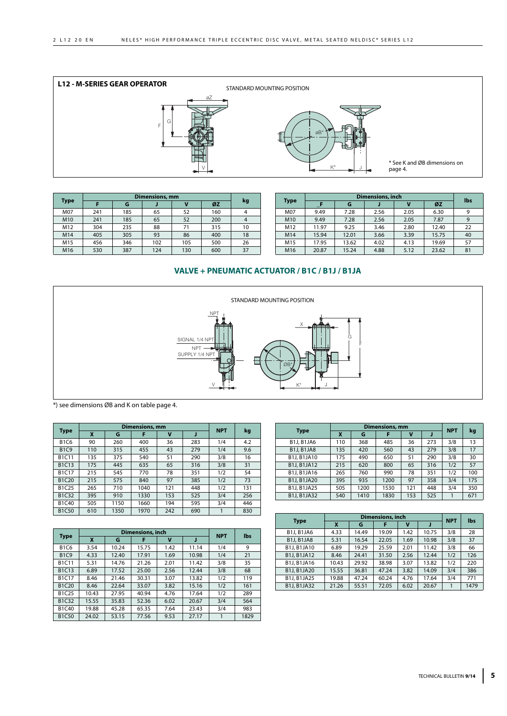

|             |     | <b>Dimensions, mm</b> |     |     |     |    |  |  |  |  |  |  |
|-------------|-----|-----------------------|-----|-----|-----|----|--|--|--|--|--|--|
| <b>Type</b> |     | G                     |     |     | ØZ  | kg |  |  |  |  |  |  |
| M07         | 241 | 185                   | 65  | 52  | 160 |    |  |  |  |  |  |  |
| M10         | 241 | 185                   | 65  | 52  | 200 |    |  |  |  |  |  |  |
| M12         | 304 | 235                   | 88  | 71  | 315 | 10 |  |  |  |  |  |  |
| M14         | 405 | 305                   | 93  | 86  | 400 | 18 |  |  |  |  |  |  |
| M15         | 456 | 346                   | 102 | 105 | 500 | 26 |  |  |  |  |  |  |
| M16         | 530 | 387                   | 124 | 130 | 600 | 37 |  |  |  |  |  |  |

|                 |       | <b>Dimensions, inch</b> |      |      |       |     |  |  |  |  |  |
|-----------------|-------|-------------------------|------|------|-------|-----|--|--|--|--|--|
| <b>Type</b>     |       | G                       |      |      | ØZ    | lbs |  |  |  |  |  |
| M07             | 9.49  | 7.28                    | 2.56 | 2.05 | 6.30  | 9   |  |  |  |  |  |
| M10             | 9.49  | 7.28                    | 2.56 | 2.05 | 7.87  | 9   |  |  |  |  |  |
| M12             | 11.97 | 9.25                    | 3.46 | 2.80 | 12.40 | 22  |  |  |  |  |  |
| M14             | 15.94 | 12.01                   | 3.66 | 3.39 | 15.75 | 40  |  |  |  |  |  |
| M <sub>15</sub> | 17.95 | 13.62                   | 4.02 | 4.13 | 19.69 | 57  |  |  |  |  |  |
| M16             | 20.87 | 15.24                   | 4.88 | 5.12 | 23.62 | 81  |  |  |  |  |  |

# **VALVE + PNEUMATIC ACTUATOR / B1C / B1J / B1JA**



\*) see dimensions ØB and K on table page 4.

| <b>Type</b>                    |     |      | Dimensions, mm |     |     | <b>NPT</b> | kg  |
|--------------------------------|-----|------|----------------|-----|-----|------------|-----|
|                                | X   | G    | F              | v   |     |            |     |
| <b>B1C6</b>                    | 90  | 260  | 400            | 36  | 283 | 1/4        | 4.2 |
| <b>B1C9</b>                    | 110 | 315  | 455            | 43  | 279 | 1/4        | 9.6 |
| <b>B1C11</b>                   | 135 | 375  | 540            | 51  | 290 | 3/8        | 16  |
| B <sub>1</sub> C <sub>13</sub> | 175 | 445  | 635            | 65  | 316 | 3/8        | 31  |
| <b>B1C17</b>                   | 215 | 545  | 770            | 78  | 351 | 1/2        | 54  |
| <b>B1C20</b>                   | 215 | 575  | 840            | 97  | 385 | 1/2        | 73  |
| B1C25                          | 265 | 710  | 1040           | 121 | 448 | 1/2        | 131 |
| <b>B1C32</b>                   | 395 | 910  | 1330           | 153 | 525 | 3/4        | 256 |
| B1C40                          | 505 | 1150 | 1660           | 194 | 595 | 3/4        | 446 |
| <b>B1C50</b>                   | 610 | 1350 | 1970           | 242 | 690 |            | 830 |

|     |      |      |     |                       |     | kg         |
|-----|------|------|-----|-----------------------|-----|------------|
| X   | G    |      | v   |                       |     |            |
| 110 | 368  | 485  | 36  | 273                   | 3/8 | 13         |
| 135 | 420  | 560  | 43  | 279                   | 3/8 | 17         |
| 175 | 490  | 650  | 51  | 290                   | 3/8 | 30         |
| 215 | 620  | 800  | 65  | 316                   | 1/2 | 57         |
| 265 | 760  | 990  | 78  | 351                   | 1/2 | 100        |
| 395 | 935  | 1200 | 97  | 358                   | 3/4 | 175        |
| 505 | 1200 | 1530 | 121 | 448                   | 3/4 | 350        |
| 540 | 1410 | 1830 | 153 | 525                   |     | 671        |
|     |      |      |     | <b>Dimensions, mm</b> |     | <b>NPT</b> |

|              |       | <b>Dimensions, inch</b> | <b>NPT</b> |      |       |     |      |
|--------------|-------|-------------------------|------------|------|-------|-----|------|
| <b>Type</b>  | X     | G                       | F          | v    |       |     | lbs  |
| <b>B1C6</b>  | 3.54  | 10.24                   | 15.75      | 1.42 | 11.14 | 1/4 | 9    |
| <b>B1C9</b>  | 4.33  | 12.40                   | 17.91      | 1.69 | 10.98 | 1/4 | 21   |
| <b>B1C11</b> | 5.31  | 14.76                   | 21.26      | 2.01 | 11.42 | 3/8 | 35   |
| B1C13        | 6.89  | 17.52                   | 25.00      | 2.56 | 12.44 | 3/8 | 68   |
| <b>B1C17</b> | 8.46  | 21.46                   | 30.31      | 3.07 | 13.82 | 1/2 | 119  |
| <b>B1C20</b> | 8.46  | 22.64                   | 33.07      | 3.82 | 15.16 | 1/2 | 161  |
| B1C25        | 10.43 | 27.95                   | 40.94      | 4.76 | 17.64 | 1/2 | 289  |
| B1C32        | 15.55 | 35.83                   | 52.36      | 6.02 | 20.67 | 3/4 | 564  |
| B1C40        | 19.88 | 45.28                   | 65.35      | 7.64 | 23.43 | 3/4 | 983  |
| <b>B1C50</b> | 24.02 | 53.15                   | 77.56      | 9.53 | 27.17 |     | 1829 |

|                    | <b>Dimensions, inch</b> |       |       |      |       |            |            |
|--------------------|-------------------------|-------|-------|------|-------|------------|------------|
| <b>Type</b>        | X                       | G     | F     | v    |       | <b>NPT</b> | <b>lbs</b> |
| <b>B1J, B1JA6</b>  | 4.33                    | 14.49 | 19.09 | 1.42 | 10.75 | 3/8        | 28         |
| <b>B1J, B1JA8</b>  | 5.31                    | 16.54 | 22.05 | 1.69 | 10.98 | 3/8        | 37         |
| B1J, B1JA10        | 6.89                    | 19.29 | 25.59 | 2.01 | 11.42 | 3/8        | 66         |
| <b>B1J, B1JA12</b> | 8.46                    | 24.41 | 31.50 | 2.56 | 12.44 | 1/2        | 126        |
| <b>B1J, B1JA16</b> | 10.43                   | 29.92 | 38.98 | 3.07 | 13.82 | 1/2        | 220        |
| <b>B1J, B1JA20</b> | 15.55                   | 36.81 | 47.24 | 3.82 | 14.09 | 3/4        | 386        |
| <b>B1J, B1JA25</b> | 19.88                   | 47.24 | 60.24 | 4.76 | 17.64 | 3/4        | 771        |
| <b>B1J, B1JA32</b> | 21.26                   | 55.51 | 72.05 | 6.02 | 20.67 |            | 1479       |